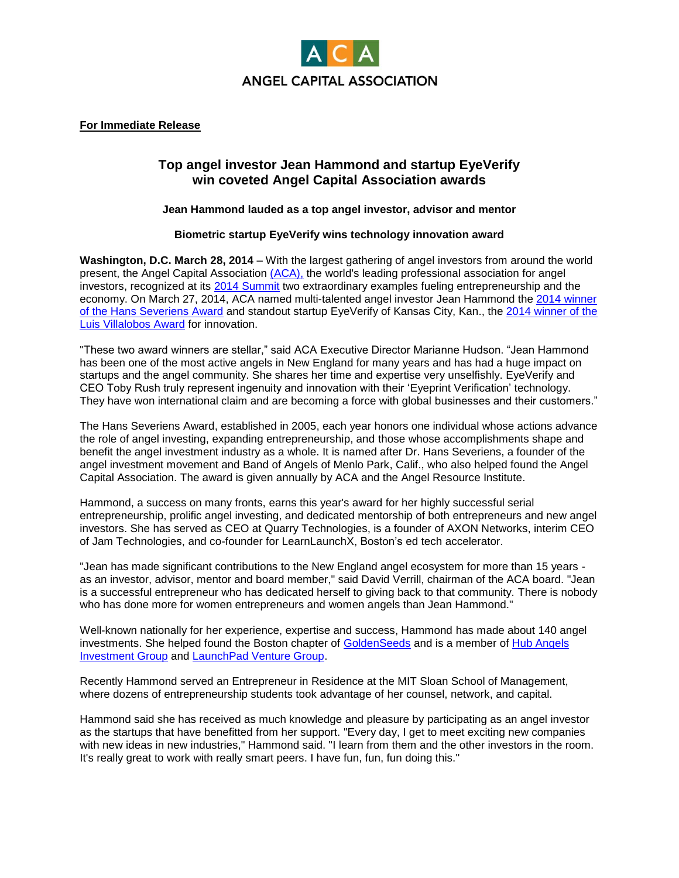

## **For Immediate Release**

# **Top angel investor Jean Hammond and startup EyeVerify win coveted Angel Capital Association awards**

### **Jean Hammond lauded as a top angel investor, advisor and mentor**

## **Biometric startup EyeVerify wins technology innovation award**

**Washington, D.C. March 28, 2014** – With the largest gathering of angel investors from around the world present, the Angel Capital Association [\(ACA\),](http://www.angelcapitalassociation.org/) the world's leading professional association for angel investors, recognized at its 2014 [Summit](http://www.angelcapitalassociation.org/2014summit/) two extraordinary examples fueling entrepreneurship and the economy. On March 27, 2014, ACA named multi-talented angel investor Jean Hammond the [2014 winner](http://www.angelcapitalassociation.org/hs14/)  [of the Hans Severiens Award](http://www.angelcapitalassociation.org/hs14/) and standout startup EyeVerify of Kansas City, Kan., the [2014 winner of the](http://www.angelcapitalassociation.org/lv14/)  [Luis Villalobos Award](http://www.angelcapitalassociation.org/lv14/) for innovation.

"These two award winners are stellar," said ACA Executive Director Marianne Hudson. "Jean Hammond has been one of the most active angels in New England for many years and has had a huge impact on startups and the angel community. She shares her time and expertise very unselfishly. EyeVerify and CEO Toby Rush truly represent ingenuity and innovation with their 'Eyeprint Verification' technology. They have won international claim and are becoming a force with global businesses and their customers."

The Hans Severiens Award, established in 2005, each year honors one individual whose actions advance the role of angel investing, expanding entrepreneurship, and those whose accomplishments shape and benefit the angel investment industry as a whole. It is named after Dr. Hans Severiens, a founder of the angel investment movement and Band of Angels of Menlo Park, Calif., who also helped found the Angel Capital Association. The award is given annually by ACA and the Angel Resource Institute.

Hammond, a success on many fronts, earns this year's award for her highly successful serial entrepreneurship, prolific angel investing, and dedicated mentorship of both entrepreneurs and new angel investors. She has served as CEO at Quarry Technologies, is a founder of AXON Networks, interim CEO of Jam Technologies, and co-founder for LearnLaunchX, Boston's ed tech accelerator.

"Jean has made significant contributions to the New England angel ecosystem for more than 15 years as an investor, advisor, mentor and board member," said David Verrill, chairman of the ACA board. "Jean is a successful entrepreneur who has dedicated herself to giving back to that community. There is nobody who has done more for women entrepreneurs and women angels than Jean Hammond."

Well-known nationally for her experience, expertise and success, Hammond has made about 140 angel investments. She helped found the Boston chapter of [GoldenSeeds](http://www.goldenseeds.com/) and is a member o[f Hub Angels](http://www.hubangels.com/)  [Investment Group](http://www.hubangels.com/) and [LaunchPad Venture Group.](http://launchpadventuregroup.com/)

Recently Hammond served an Entrepreneur in Residence at the MIT Sloan School of Management, where dozens of entrepreneurship students took advantage of her counsel, network, and capital.

Hammond said she has received as much knowledge and pleasure by participating as an angel investor as the startups that have benefitted from her support. "Every day, I get to meet exciting new companies with new ideas in new industries," Hammond said. "I learn from them and the other investors in the room. It's really great to work with really smart peers. I have fun, fun, fun doing this."